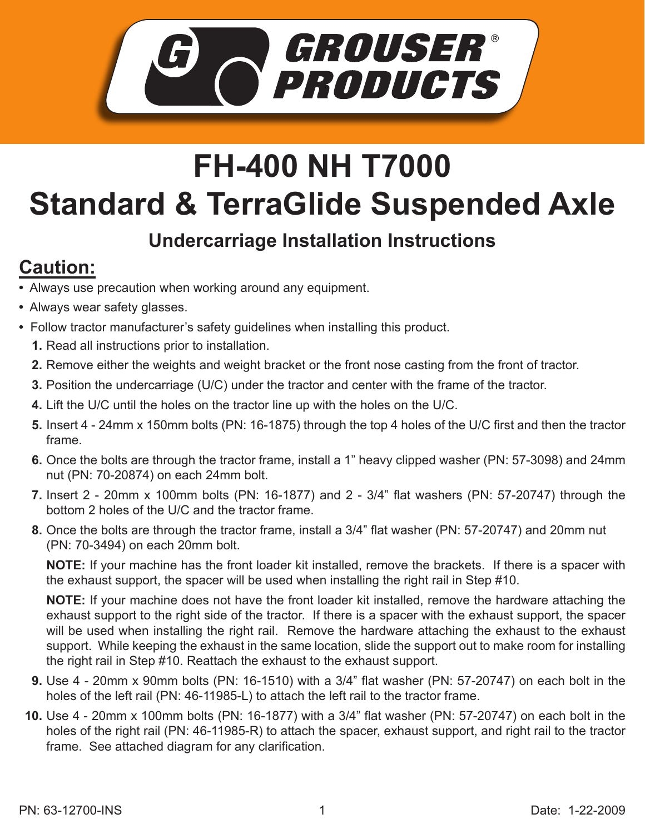

## **FH-400 NH T7000 Standard & TerraGlide Suspended Axle**

## **Undercarriage Installation Instructions**

## **Caution:**

- Always use precaution when working around any equipment.
- Always wear safety glasses.
- Follow tractor manufacturer's safety guidelines when installing this product.
	- **1.** Read all instructions prior to installation.
	- 2. Remove either the weights and weight bracket or the front nose casting from the front of tractor.
	- **3.** Position the undercarriage (U/C) under the tractor and center with the frame of the tractor.
	- Lift the U/C until the holes on the tractor line up with the holes on the U/C. **4.**
	- **5.** Insert 4 24mm x 150mm bolts (PN: 16-1875) through the top 4 holes of the U/C first and then the tractor frame.
	- **6.** Once the bolts are through the tractor frame, install a 1" heavy clipped washer (PN: 57-3098) and 24mm nut (PN: 70-20874) on each 24mm bolt.
	- Insert 2 20mm x 100mm bolts (PN: 16-1877) and 2 3/4" flat washers (PN: 57-20747) through the **7.** bottom 2 holes of the U/C and the tractor frame.
	- **8.** Once the bolts are through the tractor frame, install a 3/4" flat washer (PN: 57-20747) and 20mm nut (PN: 70-3494) on each 20mm bolt.

**NOTE:** If your machine has the front loader kit installed, remove the brackets. If there is a spacer with the exhaust support, the spacer will be used when installing the right rail in Step #10.

**NOTE:** If your machine does not have the front loader kit installed, remove the hardware attaching the exhaust support to the right side of the tractor. If there is a spacer with the exhaust support, the spacer will be used when installing the right rail. Remove the hardware attaching the exhaust to the exhaust support. While keeping the exhaust in the same location, slide the support out to make room for installing the right rail in Step #10. Reattach the exhaust to the exhaust support.

- Use 4 20mm x 90mm bolts (PN: 16-1510) with a 3/4" flat washer (PN: 57-20747) on each bolt in the **9.** holes of the left rail (PN: 46-11985-L) to attach the left rail to the tractor frame.
- Use 4 20mm x 100mm bolts (PN: 16-1877) with a 3/4" flat washer (PN: 57-20747) on each bolt in the **10.** holes of the right rail (PN: 46-11985-R) to attach the spacer, exhaust support, and right rail to the tractor frame. See attached diagram for any clarification.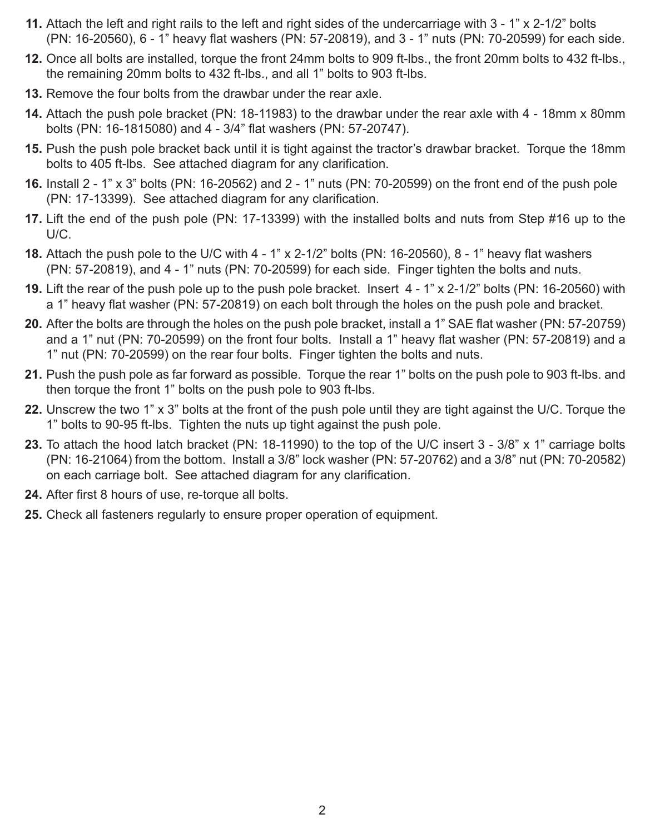- Attach the left and right rails to the left and right sides of the undercarriage with 3 1" x 2-1/2" bolts **11.** (PN: 16-20560), 6 - 1" heavy flat washers (PN: 57-20819), and 3 - 1" nuts (PN: 70-20599) for each side.
- **12.** Once all bolts are installed, torque the front 24mm bolts to 909 ft-lbs., the front 20mm bolts to 432 ft-lbs., the remaining 20mm bolts to 432 ft-lbs., and all 1" bolts to 903 ft-lbs.
- **13.** Remove the four bolts from the drawbar under the rear axle.
- Attach the push pole bracket (PN: 18-11983) to the drawbar under the rear axle with 4 18mm x 80mm **14.** bolts (PN: 16-1815080) and 4 - 3/4" flat washers (PN: 57-20747).
- **15.** Push the push pole bracket back until it is tight against the tractor's drawbar bracket. Torque the 18mm bolts to 405 ft-lbs. See attached diagram for any clarification.
- **16.** Install 2 1" x 3" bolts (PN: 16-20562) and 2 1" nuts (PN: 70-20599) on the front end of the push pole (PN: 17-13399). See attached diagram for any clarification.
- **17.** Lift the end of the push pole (PN: 17-13399) with the installed bolts and nuts from Step #16 up to the U/C.
- Attach the push pole to the U/C with 4 1" x 2-1/2" bolts (PN: 16-20560), 8 1" heavy flat washers **18.** (PN: 57-20819), and 4 - 1" nuts (PN: 70-20599) for each side. Finger tighten the bolts and nuts.
- **19.** Lift the rear of the push pole up to the push pole bracket. Insert 4 1" x 2-1/2" bolts (PN: 16-20560) with a 1" heavy flat washer (PN: 57-20819) on each bolt through the holes on the push pole and bracket.
- After the bolts are through the holes on the push pole bracket, install a 1" SAE flat washer (PN: 57-20759) **20.** and a 1" nut (PN: 70-20599) on the front four bolts. Install a 1" heavy flat washer (PN: 57-20819) and a 1" nut (PN: 70-20599) on the rear four bolts. Finger tighten the bolts and nuts.
- Push the push pole as far forward as possible. Torque the rear 1" bolts on the push pole to 903 ft-lbs. and **21.** then torque the front 1" bolts on the push pole to 903 ft-lbs.
- Unscrew the two 1" x 3" bolts at the front of the push pole until they are tight against the U/C. Torque the **22.** 1" bolts to 90-95 ft-lbs. Tighten the nuts up tight against the push pole.
- 23. To attach the hood latch bracket (PN: 18-11990) to the top of the U/C insert 3 3/8" x 1" carriage bolts (PN: 16-21064) from the bottom. Install a 3/8" lock washer (PN: 57-20762) and a 3/8" nut (PN: 70-20582) on each carriage bolt. See attached diagram for any clarification.
- 24. After first 8 hours of use, re-torque all bolts.
- **25.** Check all fasteners regularly to ensure proper operation of equipment.